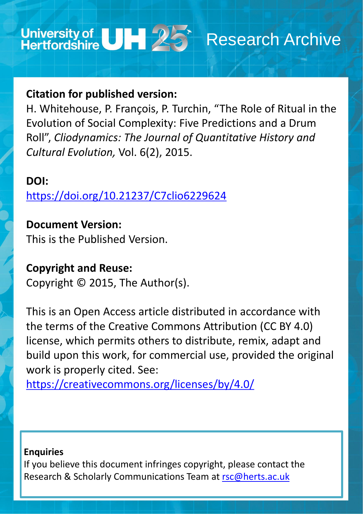

H. Whitehouse, P. François, P. Turchin, "The Role of Ritual in the Evolution of Social Complexity: Five Predictions and a Drum Roll", *Cliodynamics: The Journal of Quantitative History and Cultural Evolution,* Vol. 6(2), 2015.

University of UH 25<sup>\*</sup> Research Archive

# **DOI:**

<https://doi.org/10.21237/C7clio6229624>

# **Document Version:**

This is the Published Version.

**Copyright and Reuse:** Copyright © 2015, The Author(s).

This is an Open Access article distributed in accordance with the terms of the Creative Commons Attribution (CC BY 4.0) license, which permits others to distribute, remix, adapt and build upon this work, for commercial use, provided the original work is properly cited. See: <https://creativecommons.org/licenses/by/4.0/>

# **Enquiries**

# If you believe this document infringes copyright, please contact the Research & Scholarly Communications Team at [rsc@herts.ac.uk](mailto:rsc@herts.ac.uk)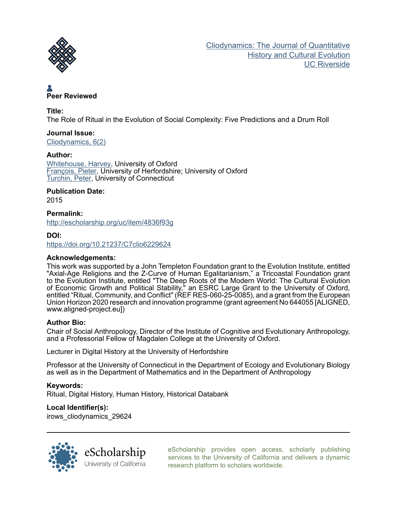



### **Title:**

The Role of Ritual in the Evolution of Social Complexity: Five Predictions and a Drum Roll

**Journal Issue:** [Cliodynamics, 6\(2\)](http://escholarship.org/uc/irows_cliodynamics?volume=6;issue=2)

# **Author:**

[Whitehouse, Harvey,](http://escholarship.org/uc/search?creator=Whitehouse%2C%20Harvey) University of Oxford [François, Pieter,](http://escholarship.org/uc/search?creator=Fran%C3%A7ois%2C%20Pieter) University of Herfordshire; University of Oxford [Turchin, Peter,](http://escholarship.org/uc/search?creator=Turchin%2C%20Peter) University of Connecticut

# **Publication Date:**

2015

**Permalink:** <http://escholarship.org/uc/item/4836f93g>

# **DOI:**

<https://doi.org/10.21237/C7clio6229624>

### **Acknowledgements:**

This work was supported by a John Templeton Foundation grant to the Evolution Institute, entitled "Axial-Age Religions and the Z-Curve of Human Egalitarianism," a Tricoastal Foundation grant to the Evolution Institute, entitled "The Deep Roots of the Modern World: The Cultural Evolution of Economic Growth and Political Stability," an ESRC Large Grant to the University of Oxford, entitled "Ritual, Community, and Conflict" (REF RES-060-25-0085), and a grant from the European Union Horizon 2020 research and innovation programme (grant agreement No 644055 [ALIGNED, www.aligned-project.eu])

# **Author Bio:**

Chair of Social Anthropology, Director of the Institute of Cognitive and Evolutionary Anthropology, and a Professorial Fellow of Magdalen College at the University of Oxford.

Lecturer in Digital History at the University of Herfordshire

Professor at the University of Connecticut in the Department of Ecology and Evolutionary Biology as well as in the Department of Mathematics and in the Department of Anthropology

# **Keywords:**

Ritual, Digital History, Human History, Historical Databank

# **Local Identifier(s):**

irows\_cliodynamics\_29624



[eScholarship provides open access, scholarly publishing](http://escholarship.org) [services to the University of California and delivers a dynamic](http://escholarship.org) [research platform to scholars worldwide.](http://escholarship.org)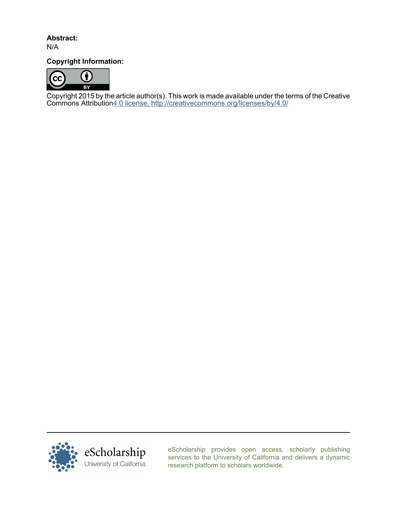# **Abstract:**

N/A

# **Copyright Information:**



Copyright 2015 by the article author(s). This work is made available under the terms of the Creative Commons Attribution[4.0 license, http://creativecommons.org/licenses/by/4.0/](http://creativecommons.org/licenses/by/4.0/)



[eScholarship provides open access, scholarly publishing](http://escholarship.org) [services to the University of California and delivers a dynamic](http://escholarship.org) [research platform to scholars worldwide.](http://escholarship.org)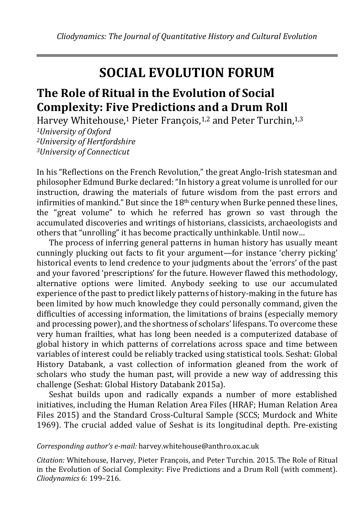# **SOCIAL EVOLUTION FORUM**

# **The Role of Ritual in the Evolution of Social Complexity: Five Predictions and a Drum Roll**

Harvey Whitehouse,<sup>1</sup> Pieter Francois,<sup>1,2</sup> and Peter Turchin,<sup>1,3</sup>

*1University of Oxford 2University of Hertfordshire 3University of Connecticut*

In his "Reflections on the French Revolution," the great Anglo-Irish statesman and philosopher Edmund Burke declared: "In history a great volume is unrolled for our instruction, drawing the materials of future wisdom from the past errors and infirmities of mankind." But since the  $18<sup>th</sup>$  century when Burke penned these lines, the "great volume" to which he referred has grown so vast through the accumulated discoveries and writings of historians, classicists, archaeologists and others that "unrolling" it has become practically unthinkable. Until now…

The process of inferring general patterns in human history has usually meant cunningly plucking out facts to fit your argument—for instance 'cherry picking' historical events to lend credence to your judgments about the 'errors' of the past and your favored 'prescriptions' for the future. However flawed this methodology, alternative options were limited. Anybody seeking to use our accumulated experience of the past to predict likely patterns of history-making in the future has been limited by how much knowledge they could personally command, given the difficulties of accessing information, the limitations of brains (especially memory and processing power), and the shortness of scholars' lifespans. To overcome these very human frailties, what has long been needed is a computerized database of global history in which patterns of correlations across space and time between variables of interest could be reliably tracked using statistical tools. Seshat: Global History Databank, a vast collection of information gleaned from the work of scholars who study the human past, will provide a new way of addressing this challenge (Seshat: Global History Databank 2015a).

Seshat builds upon and radically expands a number of more established initiatives, including the Human Relation Area Files (HRAF; Human Relation Area Files 2015) and the Standard Cross-Cultural Sample (SCCS; Murdock and White 1969). The crucial added value of Seshat is its longitudinal depth. Pre-existing

#### *Corresponding author's e-mail:* harvey.whitehouse@anthro.ox.ac.uk

*Citation:* Whitehouse, Harvey, Pieter François, and Peter Turchin. 2015. The Role of Ritual in the Evolution of Social Complexity: Five Predictions and a Drum Roll (with comment). *Cliodynamics* 6: 199–216.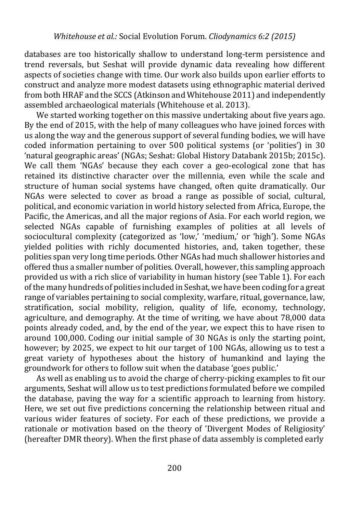databases are too historically shallow to understand long-term persistence and trend reversals, but Seshat will provide dynamic data revealing how different aspects of societies change with time. Our work also builds upon earlier efforts to construct and analyze more modest datasets using ethnographic material derived from both HRAF and the SCCS (Atkinson and Whitehouse 2011) and independently assembled archaeological materials (Whitehouse et al. 2013).

We started working together on this massive undertaking about five years ago. By the end of 2015, with the help of many colleagues who have joined forces with us along the way and the generous support of several funding bodies, we will have coded information pertaining to over 500 political systems (or 'polities') in 30 'natural geographic areas' (NGAs; Seshat: Global History Databank 2015b; 2015c). We call them 'NGAs' because they each cover a geo-ecological zone that has retained its distinctive character over the millennia, even while the scale and structure of human social systems have changed, often quite dramatically. Our NGAs were selected to cover as broad a range as possible of social, cultural, political, and economic variation in world history selected from Africa, Europe, the Pacific, the Americas, and all the major regions of Asia. For each world region, we selected NGAs capable of furnishing examples of polities at all levels of sociocultural complexity (categorized as 'low,' 'medium,' or 'high'). Some NGAs yielded polities with richly documented histories, and, taken together, these polities span very long time periods. Other NGAs had much shallower histories and offered thus a smaller number of polities. Overall, however, this sampling approach provided us with a rich slice of variability in human history (see Table 1). For each of the many hundreds of polities included in Seshat, we have been coding for a great range of variables pertaining to social complexity, warfare, ritual, governance, law, stratification, social mobility, religion, quality of life, economy, technology, agriculture, and demography. At the time of writing, we have about 78,000 data points already coded, and, by the end of the year, we expect this to have risen to around 100,000. Coding our initial sample of 30 NGAs is only the starting point, however; by 2025, we expect to hit our target of 100 NGAs, allowing us to test a great variety of hypotheses about the history of humankind and laying the groundwork for others to follow suit when the database 'goes public.'

As well as enabling us to avoid the charge of cherry-picking examples to fit our arguments, Seshat will allow us to test predictions formulated before we compiled the database, paving the way for a scientific approach to learning from history. Here, we set out five predictions concerning the relationship between ritual and various wider features of society. For each of these predictions, we provide a rationale or motivation based on the theory of 'Divergent Modes of Religiosity' (hereafter DMR theory). When the first phase of data assembly is completed early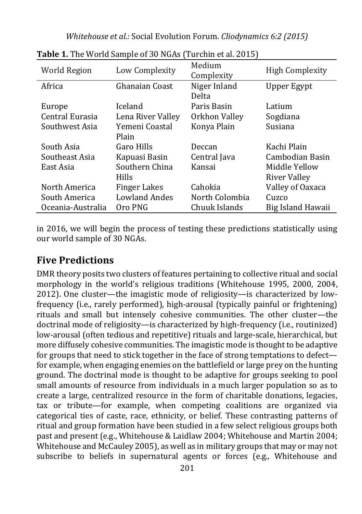| World Region      | Low Complexity       | Medium<br>Complexity | <b>High Complexity</b> |
|-------------------|----------------------|----------------------|------------------------|
| Africa            | Ghanaian Coast       | Niger Inland         | Upper Egypt            |
|                   |                      | Delta                |                        |
| Europe            | Iceland              | Paris Basin          | Latium                 |
| Central Eurasia   | Lena River Valley    | Orkhon Valley        | Sogdiana               |
| Southwest Asia    | Yemeni Coastal       | Konya Plain          | Susiana                |
|                   | Plain                |                      |                        |
| South Asia        | Garo Hills           | Deccan               | Kachi Plain            |
| Southeast Asia    | Kapuasi Basin        | Central Java         | Cambodian Basin        |
| East Asia         | Southern China       | Kansai               | Middle Yellow          |
|                   | Hills                |                      | River Valley           |
| North America     | Finger Lakes         | Cahokia              | Valley of Oaxaca       |
| South America     | <b>Lowland Andes</b> | North Colombia       | Cuzco                  |
| Oceania-Australia | Oro PNG              | Chuuk Islands        | Big Island Hawaii      |

**Table 1.** The World Sample of 30 NGAs (Turchin et al. 2015)

in 2016, we will begin the process of testing these predictions statistically using our world sample of 30 NGAs.

# **Five Predictions**

DMR theory posits two clusters of features pertaining to collective ritual and social morphology in the world's religious traditions (Whitehouse 1995, 2000, 2004, 2012). One cluster—the imagistic mode of religiosity—is characterized by lowfrequency (i.e., rarely performed), high-arousal (typically painful or frightening) rituals and small but intensely cohesive communities. The other cluster—the doctrinal mode of religiosity—is characterized by high-frequency (i.e., routinized) low-arousal (often tedious and repetitive) rituals and large-scale, hierarchical, but more diffusely cohesive communities. The imagistic mode is thought to be adaptive for groups that need to stick together in the face of strong temptations to defect for example, when engaging enemies on the battlefield or large prey on the hunting ground. The doctrinal mode is thought to be adaptive for groups seeking to pool small amounts of resource from individuals in a much larger population so as to create a large, centralized resource in the form of charitable donations, legacies, tax or tribute—for example, when competing coalitions are organized via categorical ties of caste, race, ethnicity, or belief. These contrasting patterns of ritual and group formation have been studied in a few select religious groups both past and present (e.g., Whitehouse & Laidlaw 2004; Whitehouse and Martin 2004; Whitehouse and McCauley 2005), as well as in military groups that may or may not subscribe to beliefs in supernatural agents or forces (e.g., Whitehouse and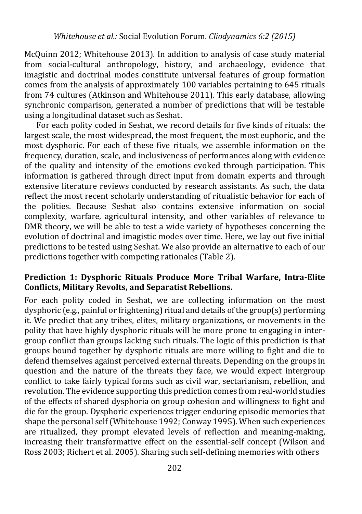McQuinn 2012; Whitehouse 2013). In addition to analysis of case study material from social-cultural anthropology, history, and archaeology, evidence that imagistic and doctrinal modes constitute universal features of group formation comes from the analysis of approximately 100 variables pertaining to 645 rituals from 74 cultures (Atkinson and Whitehouse 2011). This early database, allowing synchronic comparison, generated a number of predictions that will be testable using a longitudinal dataset such as Seshat.

For each polity coded in Seshat, we record details for five kinds of rituals: the largest scale, the most widespread, the most frequent, the most euphoric, and the most dysphoric. For each of these five rituals, we assemble information on the frequency, duration, scale, and inclusiveness of performances along with evidence of the quality and intensity of the emotions evoked through participation. This information is gathered through direct input from domain experts and through extensive literature reviews conducted by research assistants. As such, the data reflect the most recent scholarly understanding of ritualistic behavior for each of the polities. Because Seshat also contains extensive information on social complexity, warfare, agricultural intensity, and other variables of relevance to DMR theory, we will be able to test a wide variety of hypotheses concerning the evolution of doctrinal and imagistic modes over time. Here, we lay out five initial predictions to be tested using Seshat. We also provide an alternative to each of our predictions together with competing rationales (Table 2).

#### **Prediction 1: Dysphoric Rituals Produce More Tribal Warfare, Intra-Elite Conflicts, Military Revolts, and Separatist Rebellions.**

For each polity coded in Seshat, we are collecting information on the most dysphoric (e.g., painful or frightening) ritual and details of the group(s) performing it. We predict that any tribes, elites, military organizations, or movements in the polity that have highly dysphoric rituals will be more prone to engaging in intergroup conflict than groups lacking such rituals. The logic of this prediction is that groups bound together by dysphoric rituals are more willing to fight and die to defend themselves against perceived external threats. Depending on the groups in question and the nature of the threats they face, we would expect intergroup conflict to take fairly typical forms such as civil war, sectarianism, rebellion, and revolution. The evidence supporting this prediction comes from real-world studies of the effects of shared dysphoria on group cohesion and willingness to fight and die for the group. Dysphoric experiences trigger enduring episodic memories that shape the personal self (Whitehouse 1992; Conway 1995). When such experiences are ritualized, they prompt elevated levels of reflection and meaning-making, increasing their transformative effect on the essential-self concept (Wilson and Ross 2003; Richert et al. 2005). Sharing such self-defining memories with others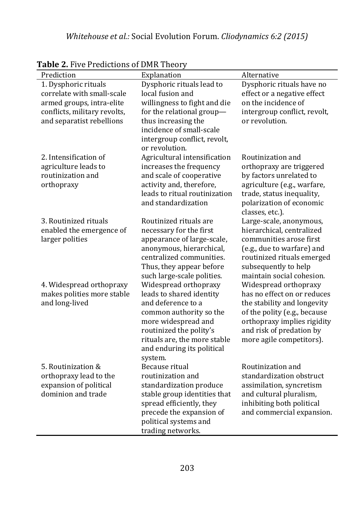| Prediction                                             | Explanation                                       | Alternative                                          |
|--------------------------------------------------------|---------------------------------------------------|------------------------------------------------------|
| 1. Dysphoric rituals                                   | Dysphoric rituals lead to                         | Dysphoric rituals have no                            |
| correlate with small-scale                             | local fusion and                                  | effect or a negative effect                          |
| armed groups, intra-elite                              | willingness to fight and die                      | on the incidence of                                  |
| conflicts, military revolts,                           | for the relational group-                         | intergroup conflict, revolt,                         |
| and separatist rebellions                              | thus increasing the                               | or revolution.                                       |
|                                                        | incidence of small-scale                          |                                                      |
|                                                        | intergroup conflict, revolt,                      |                                                      |
|                                                        | or revolution.                                    |                                                      |
| 2. Intensification of                                  | Agricultural intensification                      | Routinization and                                    |
| agriculture leads to                                   | increases the frequency                           | orthopraxy are triggered                             |
| routinization and                                      | and scale of cooperative                          | by factors unrelated to                              |
| orthopraxy                                             | activity and, therefore,                          | agriculture (e.g., warfare,                          |
|                                                        | leads to ritual routinization                     | trade, status inequality,                            |
|                                                        | and standardization                               | polarization of economic                             |
|                                                        |                                                   | classes, etc.).                                      |
| 3. Routinized rituals                                  | Routinized rituals are                            | Large-scale, anonymous,                              |
| enabled the emergence of                               | necessary for the first                           | hierarchical, centralized                            |
| larger polities                                        | appearance of large-scale,                        | communities arose first                              |
|                                                        | anonymous, hierarchical,                          | (e.g., due to warfare) and                           |
|                                                        | centralized communities.                          | routinized rituals emerged                           |
|                                                        | Thus, they appear before                          | subsequently to help                                 |
|                                                        | such large-scale polities.                        | maintain social cohesion.                            |
| 4. Widespread orthopraxy<br>makes polities more stable | Widespread orthopraxy<br>leads to shared identity | Widespread orthopraxy<br>has no effect on or reduces |
| and long-lived                                         | and deference to a                                | the stability and longevity                          |
|                                                        | common authority so the                           | of the polity (e.g., because                         |
|                                                        |                                                   | orthopraxy implies rigidity                          |
|                                                        | more widespread and<br>routinized the polity's    | and risk of predation by                             |
|                                                        | rituals are, the more stable                      | more agile competitors).                             |
|                                                        | and enduring its political                        |                                                      |
|                                                        | system.                                           |                                                      |
| 5. Routinization &                                     | Because ritual                                    | Routinization and                                    |
| orthopraxy lead to the                                 | routinization and                                 | standardization obstruct                             |
| expansion of political                                 | standardization produce                           | assimilation, syncretism                             |
| dominion and trade                                     | stable group identities that                      | and cultural pluralism,                              |
|                                                        | spread efficiently, they                          | inhibiting both political                            |
|                                                        | precede the expansion of                          | and commercial expansion.                            |
|                                                        | political systems and                             |                                                      |
|                                                        | trading networks.                                 |                                                      |
|                                                        |                                                   |                                                      |

**Table 2.** Five Predictions of DMR Theory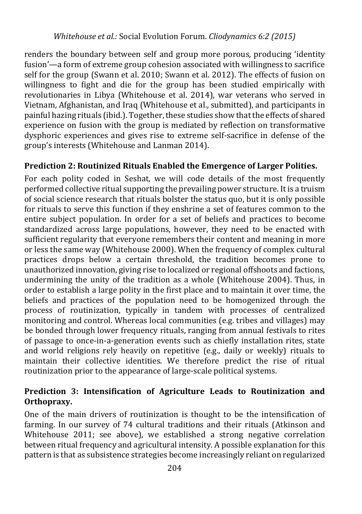renders the boundary between self and group more porous, producing 'identity fusion'—a form of extreme group cohesion associated with willingness to sacrifice self for the group (Swann et al. 2010; Swann et al. 2012). The effects of fusion on willingness to fight and die for the group has been studied empirically with revolutionaries in Libya (Whitehouse et al. 2014), war veterans who served in Vietnam, Afghanistan, and Iraq (Whitehouse et al., submitted), and participants in painful hazing rituals (ibid.). Together, these studies show that the effects of shared experience on fusion with the group is mediated by reflection on transformative dysphoric experiences and gives rise to extreme self-sacrifice in defense of the group's interests (Whitehouse and Lanman 2014).

#### **Prediction 2: Routinized Rituals Enabled the Emergence of Larger Polities.**

For each polity coded in Seshat, we will code details of the most frequently performed collective ritual supporting the prevailing power structure. It is a truism of social science research that rituals bolster the status quo, but it is only possible for rituals to serve this function if they enshrine a set of features common to the entire subject population. In order for a set of beliefs and practices to become standardized across large populations, however, they need to be enacted with sufficient regularity that everyone remembers their content and meaning in more or less the same way (Whitehouse 2000). When the frequency of complex cultural practices drops below a certain threshold, the tradition becomes prone to unauthorized innovation, giving rise to localized or regional offshoots and factions, undermining the unity of the tradition as a whole (Whitehouse 2004). Thus, in order to establish a large polity in the first place and to maintain it over time, the beliefs and practices of the population need to be homogenized through the process of routinization, typically in tandem with processes of centralized monitoring and control. Whereas local communities (e.g. tribes and villages) may be bonded through lower frequency rituals, ranging from annual festivals to rites of passage to once-in-a-generation events such as chiefly installation rites, state and world religions rely heavily on repetitive (e.g., daily or weekly) rituals to maintain their collective identities. We therefore predict the rise of ritual routinization prior to the appearance of large-scale political systems.

#### **Prediction 3: Intensification of Agriculture Leads to Routinization and Orthopraxy.**

One of the main drivers of routinization is thought to be the intensification of farming. In our survey of 74 cultural traditions and their rituals (Atkinson and Whitehouse 2011; see above), we established a strong negative correlation between ritual frequency and agricultural intensity. A possible explanation for this pattern is that as subsistence strategies become increasingly reliant on regularized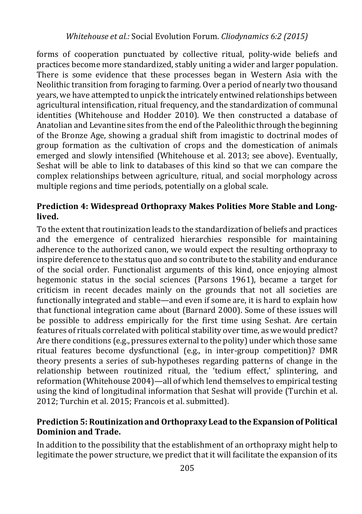forms of cooperation punctuated by collective ritual, polity-wide beliefs and practices become more standardized, stably uniting a wider and larger population. There is some evidence that these processes began in Western Asia with the Neolithic transition from foraging to farming. Over a period of nearly two thousand years, we have attempted to unpick the intricately entwined relationships between agricultural intensification, ritual frequency, and the standardization of communal identities (Whitehouse and Hodder 2010). We then constructed a database of Anatolian and Levantine sites from the end of the Paleolithic through the beginning of the Bronze Age, showing a gradual shift from imagistic to doctrinal modes of group formation as the cultivation of crops and the domestication of animals emerged and slowly intensified (Whitehouse et al. 2013; see above). Eventually, Seshat will be able to link to databases of this kind so that we can compare the complex relationships between agriculture, ritual, and social morphology across multiple regions and time periods, potentially on a global scale.

### **Prediction 4: Widespread Orthopraxy Makes Polities More Stable and Longlived.**

To the extent that routinization leads to the standardization of beliefs and practices and the emergence of centralized hierarchies responsible for maintaining adherence to the authorized canon, we would expect the resulting orthopraxy to inspire deference to the status quo and so contribute to the stability and endurance of the social order. Functionalist arguments of this kind, once enjoying almost hegemonic status in the social sciences (Parsons 1961), became a target for criticism in recent decades mainly on the grounds that not all societies are functionally integrated and stable—and even if some are, it is hard to explain how that functional integration came about (Barnard 2000). Some of these issues will be possible to address empirically for the first time using Seshat. Are certain features of rituals correlated with political stability over time, as we would predict? Are there conditions (e.g., pressures external to the polity) under which those same ritual features become dysfunctional (e.g., in inter-group competition)? DMR theory presents a series of sub-hypotheses regarding patterns of change in the relationship between routinized ritual, the 'tedium effect,' splintering, and reformation (Whitehouse 2004)—all of which lend themselves to empirical testing using the kind of longitudinal information that Seshat will provide (Turchin et al. 2012; Turchin et al. 2015; Francois et al. submitted).

#### **Prediction 5: Routinization and Orthopraxy Lead to the Expansion of Political Dominion and Trade.**

In addition to the possibility that the establishment of an orthopraxy might help to legitimate the power structure, we predict that it will facilitate the expansion of its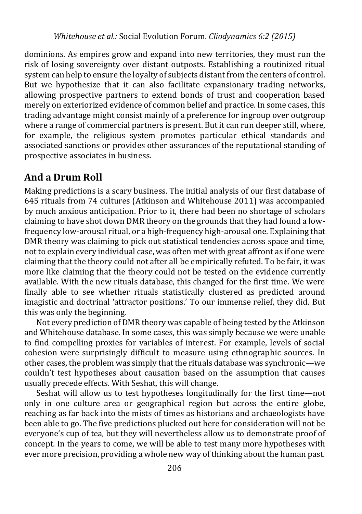dominions. As empires grow and expand into new territories, they must run the risk of losing sovereignty over distant outposts. Establishing a routinized ritual system can help to ensure the loyalty of subjects distant from the centers of control. But we hypothesize that it can also facilitate expansionary trading networks, allowing prospective partners to extend bonds of trust and cooperation based merely on exteriorized evidence of common belief and practice. In some cases, this trading advantage might consist mainly of a preference for ingroup over outgroup where a range of commercial partners is present. But it can run deeper still, where, for example, the religious system promotes particular ethical standards and associated sanctions or provides other assurances of the reputational standing of prospective associates in business.

# **And a Drum Roll**

Making predictions is a scary business. The initial analysis of our first database of 645 rituals from 74 cultures (Atkinson and Whitehouse 2011) was accompanied by much anxious anticipation. Prior to it, there had been no shortage of scholars claiming to have shot down DMR theory on the grounds that they had found a lowfrequency low-arousal ritual, or a high-frequency high-arousal one. Explaining that DMR theory was claiming to pick out statistical tendencies across space and time, not to explain every individual case, was often met with great affront as if one were claiming that the theory could not after all be empirically refuted. To be fair, it was more like claiming that the theory could not be tested on the evidence currently available. With the new rituals database, this changed for the first time. We were finally able to see whether rituals statistically clustered as predicted around imagistic and doctrinal 'attractor positions.' To our immense relief, they did. But this was only the beginning.

Not every prediction of DMR theory was capable of being tested by the Atkinson and Whitehouse database. In some cases, this was simply because we were unable to find compelling proxies for variables of interest. For example, levels of social cohesion were surprisingly difficult to measure using ethnographic sources. In other cases, the problem was simply that the rituals database was synchronic—we couldn't test hypotheses about causation based on the assumption that causes usually precede effects. With Seshat, this will change.

Seshat will allow us to test hypotheses longitudinally for the first time—not only in one culture area or geographical region but across the entire globe, reaching as far back into the mists of times as historians and archaeologists have been able to go. The five predictions plucked out here for consideration will not be everyone's cup of tea, but they will nevertheless allow us to demonstrate proof of concept. In the years to come, we will be able to test many more hypotheses with ever more precision, providing a whole new way of thinking about the human past.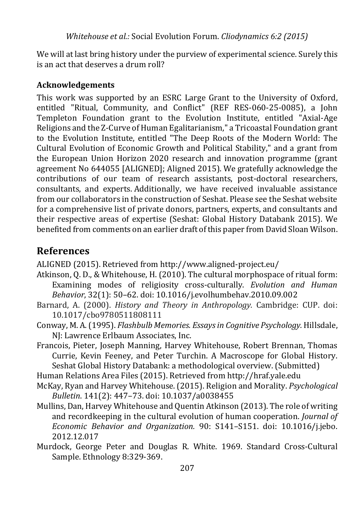We will at last bring history under the purview of experimental science. Surely this is an act that deserves a drum roll?

#### **Acknowledgements**

This work was supported by an ESRC Large Grant to the University of Oxford, entitled "Ritual, Community, and Conflict" (REF RES-060-25-0085), a John Templeton Foundation grant to the Evolution Institute, entitled "Axial-Age Religions and the Z-Curve of Human Egalitarianism," a Tricoastal Foundation grant to the Evolution Institute, entitled "The Deep Roots of the Modern World: The Cultural Evolution of Economic Growth and Political Stability," and a grant from the European Union Horizon 2020 research and innovation programme (grant agreement No 644055 [ALIGNED]; Aligned 2015). We gratefully acknowledge the contributions of our team of research assistants, post-doctoral researchers, consultants, and experts. Additionally, we have received invaluable assistance from our collaborators in the construction of Seshat. Please see the Seshat website for a comprehensive list of private donors, partners, experts, and consultants and their respective areas of expertise (Seshat: Global History Databank 2015). We benefited from comments on an earlier draft of this paper from David Sloan Wilson.

# **References**

ALIGNED (2015). Retrieved from http://www.aligned-project.eu/

- Atkinson, Q. D., & Whitehouse, H. (2010). The cultural morphospace of ritual form: Examining modes of religiosity cross-culturally. *Evolution and Human Behavior*, 32(1): 50–62. doi: 10.1016/j.evolhumbehav.2010.09.002
- Barnard, A. (2000). *History and Theory in Anthropology.* Cambridge: CUP. doi: 10.1017/cbo9780511808111
- Conway, M. A. (1995). *Flashbulb Memories. Essays in Cognitive Psychology.* Hillsdale, NJ: Lawrence Erlbaum Associates, Inc.
- Francois, Pieter, Joseph Manning, Harvey Whitehouse, Robert Brennan, Thomas Currie, Kevin Feeney, and Peter Turchin. A Macroscope for Global History. Seshat Global History Databank: a methodological overview. (Submitted)
- Human Relations Area Files (2015). Retrieved from http://hraf.yale.edu
- McKay, Ryan and Harvey Whitehouse. (2015). Religion and Morality. *Psychological Bulletin*. 141(2): 447–73. doi: 10.1037/a0038455
- Mullins, Dan, Harvey Whitehouse and Quentin Atkinson (2013). The role of writing and recordkeeping in the cultural evolution of human cooperation. *Journal of Economic Behavior and Organization.* 90: S141–S151. doi: 10.1016/j.jebo. 2012.12.017
- Murdock, George Peter and Douglas R. White. 1969. Standard Cross-Cultural Sample. Ethnology 8:329-369.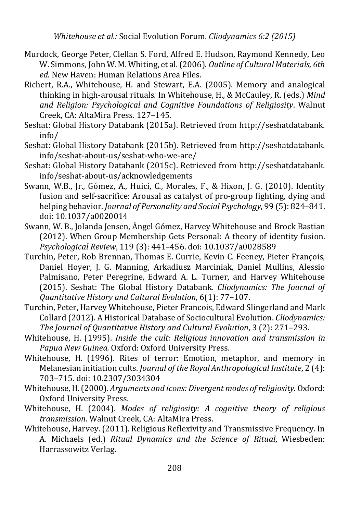- Murdock, George Peter, Clellan S. Ford, Alfred E. Hudson, Raymond Kennedy, Leo W. Simmons, John W. M. Whiting, et al. (2006)*. Outline of Cultural Materials, 6th ed.* New Haven: Human Relations Area Files.
- Richert, R.A., Whitehouse, H. and Stewart, E.A. (2005). Memory and analogical thinking in high-arousal rituals. In Whitehouse, H., & McCauley, R. (eds.) *Mind and Religion: Psychological and Cognitive Foundations of Religiosity*. Walnut Creek, CA: AltaMira Press. 127–145.
- Seshat: Global History Databank (2015a). Retrieved from http://seshatdatabank. info/
- Seshat: Global History Databank (2015b). Retrieved from http://seshatdatabank. info/seshat-about-us/seshat-who-we-are/
- Seshat: Global History Databank (2015c). Retrieved from http://seshatdatabank. info/seshat-about-us/acknowledgements
- Swann, W.B., Jr., Gómez, A., Huici, C., Morales, F., & Hixon, J. G. (2010). Identity fusion and self-sacrifice: Arousal as catalyst of pro-group fighting, dying and helping behavior. *Journal of Personality and Social Psychology*, 99 (5): 824–841. doi: 10.1037/a0020014
- Swann, W. B., Jolanda Jensen, Ángel Gómez, Harvey Whitehouse and Brock Bastian (2012). When Group Membership Gets Personal: A theory of identity fusion. *Psychological Review*, 119 (3): 441–456. doi: 10.1037/a0028589
- Turchin, Peter, Rob Brennan, Thomas E. Currie, Kevin C. Feeney, Pieter François, Daniel Hoyer, J. G. Manning, Arkadiusz Marciniak, Daniel Mullins, Alessio Palmisano, Peter Peregrine, Edward A. L. Turner, and Harvey Whitehouse (2015). Seshat: The Global History Databank. *Cliodynamics: The Journal of Quantitative History and Cultural Evolution*, 6(1): 77–107.
- Turchin, Peter, Harvey Whitehouse, Pieter Francois, Edward Slingerland and Mark Collard (2012). A Historical Database of Sociocultural Evolution. *Cliodynamics: The Journal of Quantitative History and Cultural Evolution*, 3 (2): 271–293.
- Whitehouse, H. (1995). *Inside the cult: Religious innovation and transmission in Papua New Guinea.* Oxford: Oxford University Press.
- Whitehouse, H. (1996). Rites of terror: Emotion, metaphor, and memory in Melanesian initiation cults. *Journal of the Royal Anthropological Institute*, 2 (4): 703–715. doi: 10.2307/3034304
- Whitehouse, H. (2000). *Arguments and icons: Divergent modes of religiosity.* Oxford: Oxford University Press.
- Whitehouse, H. (2004). *Modes of religiosity: A cognitive theory of religious transmission*. Walnut Creek, CA: AltaMira Press.
- Whitehouse, Harvey. (2011). Religious Reflexivity and Transmissive Frequency. In A. Michaels (ed.) *Ritual Dynamics and the Science of Ritual*, Wiesbeden: Harrassowitz Verlag.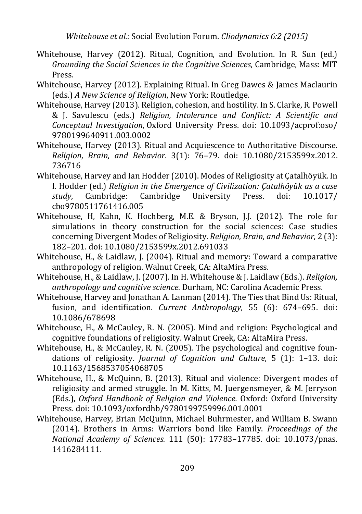- Whitehouse, Harvey (2012). Ritual, Cognition, and Evolution. In R. Sun (ed.) *Grounding the Social Sciences in the Cognitive Sciences*, Cambridge, Mass: MIT Press.
- Whitehouse, Harvey (2012). Explaining Ritual. In Greg Dawes & James Maclaurin (eds.) *A New Science of Religion*, New York: Routledge.
- Whitehouse, Harvey (2013). Religion, cohesion, and hostility. In S. Clarke, R. Powell & J. Savulescu (eds.) *Religion, Intolerance and Conflict: A Scientific and Conceptual Investigation*, Oxford University Press. doi: 10.1093/acprof:oso/ 9780199640911.003.0002
- Whitehouse, Harvey (2013). Ritual and Acquiescence to Authoritative Discourse. *Religion, Brain, and Behavior*. 3(1): 76–79. doi: 10.1080/2153599x.2012. 736716
- Whitehouse, Harvey and Ian Hodder (2010). Modes of Religiosity at Çatalhöyük. In I. Hodder (ed.) *Religion in the Emergence of Civilization: Çatalhöyük as a case*   $Cambridge$ cbo9780511761416.005
- Whitehouse, H, Kahn, K. Hochberg, M.E. & Bryson, J.J. (2012). The role for simulations in theory construction for the social sciences: Case studies concerning Divergent Modes of Religiosity. *Religion, Brain, and Behavior,* 2 (3): 182–201. doi: 10.1080/2153599x.2012.691033
- Whitehouse, H., & Laidlaw, J. (2004). Ritual and memory: Toward a comparative anthropology of religion. Walnut Creek, CA: AltaMira Press.
- Whitehouse, H., & Laidlaw, J. (2007). In H. Whitehouse & J. Laidlaw (Eds.). *Religion, anthropology and cognitive science.* Durham, NC: Carolina Academic Press.
- Whitehouse, Harvey and Jonathan A. Lanman (2014). The Ties that Bind Us: Ritual, fusion, and identification. *Current Anthropology*, 55 (6): 674–695. doi: 10.1086/678698
- Whitehouse, H., & McCauley, R. N. (2005). Mind and religion: Psychological and cognitive foundations of religiosity. Walnut Creek, CA: AltaMira Press.
- Whitehouse, H., & McCauley, R. N. (2005). The psychological and cognitive foundations of religiosity. *Journal of Cognition and Culture*, 5 (1): 1–13. doi: 10.1163/1568537054068705
- Whitehouse, H., & McQuinn, B. (2013). Ritual and violence: Divergent modes of religiosity and armed struggle. In M. Kitts, M. Juergensmeyer, & M. Jerryson (Eds.), *Oxford Handbook of Religion and Violence.* Oxford: Oxford University Press. doi: 10.1093/oxfordhb/9780199759996.001.0001
- Whitehouse, Harvey, Brian McQuinn, Michael Buhrmester, and William B. Swann (2014). Brothers in Arms: Warriors bond like Family. *Proceedings of the National Academy of Sciences.* 111 (50): 17783–17785. doi: 10.1073/pnas. 1416284111.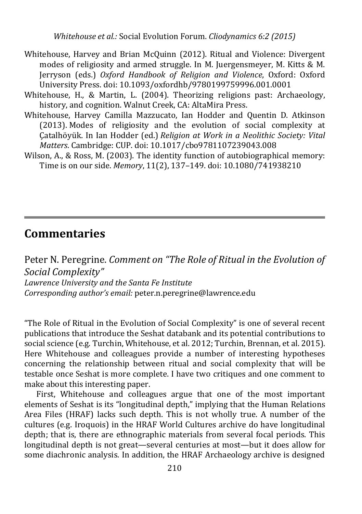- Whitehouse, Harvey and Brian McQuinn (2012). Ritual and Violence: Divergent modes of religiosity and armed struggle. In M. Juergensmeyer, M. Kitts & M. Jerryson (eds.) *Oxford Handbook of Religion and Violence*, Oxford: Oxford University Press. doi: 10.1093/oxfordhb/9780199759996.001.0001
- Whitehouse, H., & Martin, L. (2004). Theorizing religions past: Archaeology, history, and cognition. Walnut Creek, CA: AltaMira Press.
- Whitehouse, Harvey Camilla Mazzucato, Ian Hodder and Quentin D. Atkinson (2013). Modes of religiosity and the evolution of social complexity at Çatalhöyük. In Ian Hodder (ed.) *Religion at Work in a Neolithic Society: Vital Matters*. Cambridge: CUP. doi: 10.1017/cbo9781107239043.008
- Wilson, A., & Ross, M. (2003). The identity function of autobiographical memory: Time is on our side. *Memory*, 11(2), 137–149. doi: 10.1080/741938210

# **Commentaries**

Peter N. Peregrine. *Comment on "The Role of Ritual in the Evolution of Social Complexity" Lawrence University and the Santa Fe Institute Corresponding author's email:* peter.n.peregrine@lawrence.edu

"The Role of Ritual in the Evolution of Social Complexity" is one of several recent publications that introduce the Seshat databank and its potential contributions to social science (e.g. Turchin, Whitehouse, et al. 2012; Turchin, Brennan, et al. 2015). Here Whitehouse and colleagues provide a number of interesting hypotheses concerning the relationship between ritual and social complexity that will be testable once Seshat is more complete. I have two critiques and one comment to make about this interesting paper.

First, Whitehouse and colleagues argue that one of the most important elements of Seshat is its "longitudinal depth," implying that the Human Relations Area Files (HRAF) lacks such depth. This is not wholly true. A number of the cultures (e.g. Iroquois) in the HRAF World Cultures archive do have longitudinal depth; that is, there are ethnographic materials from several focal periods. This longitudinal depth is not great—several centuries at most—but it does allow for some diachronic analysis. In addition, the HRAF Archaeology archive is designed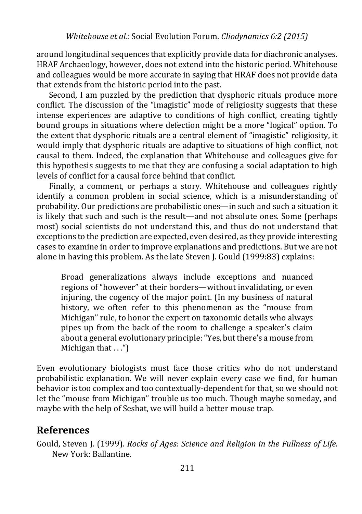around longitudinal sequences that explicitly provide data for diachronic analyses. HRAF Archaeology, however, does not extend into the historic period. Whitehouse and colleagues would be more accurate in saying that HRAF does not provide data that extends from the historic period into the past.

Second, I am puzzled by the prediction that dysphoric rituals produce more conflict. The discussion of the "imagistic" mode of religiosity suggests that these intense experiences are adaptive to conditions of high conflict, creating tightly bound groups in situations where defection might be a more "logical" option. To the extent that dysphoric rituals are a central element of "imagistic" religiosity, it would imply that dysphoric rituals are adaptive to situations of high conflict, not causal to them. Indeed, the explanation that Whitehouse and colleagues give for this hypothesis suggests to me that they are confusing a social adaptation to high levels of conflict for a causal force behind that conflict.

Finally, a comment, or perhaps a story. Whitehouse and colleagues rightly identify a common problem in social science, which is a misunderstanding of probability. Our predictions are probabilistic ones—in such and such a situation it is likely that such and such is the result—and not absolute ones. Some (perhaps most) social scientists do not understand this, and thus do not understand that exceptions to the prediction are expected, even desired, as they provide interesting cases to examine in order to improve explanations and predictions. But we are not alone in having this problem. As the late Steven J. Gould (1999:83) explains:

Broad generalizations always include exceptions and nuanced regions of "however" at their borders—without invalidating, or even injuring, the cogency of the major point. (In my business of natural history, we often refer to this phenomenon as the "mouse from Michigan" rule, to honor the expert on taxonomic details who always pipes up from the back of the room to challenge a speaker's claim about a general evolutionary principle: "Yes, but there's a mouse from Michigan that . . . ")

Even evolutionary biologists must face those critics who do not understand probabilistic explanation. We will never explain every case we find, for human behavior is too complex and too contextually-dependent for that, so we should not let the "mouse from Michigan" trouble us too much. Though maybe someday, and maybe with the help of Seshat, we will build a better mouse trap.

### **References**

Gould, Steven J. (1999). *Rocks of Ages: Science and Religion in the Fullness of Life.* New York: Ballantine.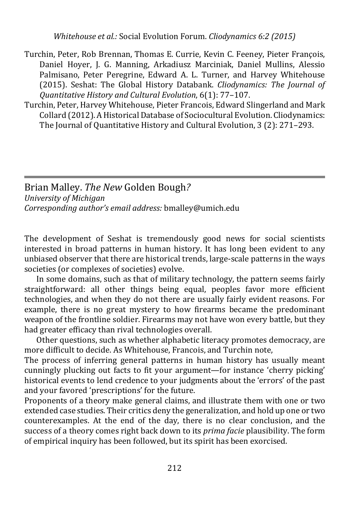- Turchin, Peter, Rob Brennan, Thomas E. Currie, Kevin C. Feeney, Pieter François, Daniel Hoyer, J. G. Manning, Arkadiusz Marciniak, Daniel Mullins, Alessio Palmisano, Peter Peregrine, Edward A. L. Turner, and Harvey Whitehouse (2015). Seshat: The Global History Databank. *Cliodynamics: The Journal of Quantitative History and Cultural Evolution*, 6(1): 77–107.
- Turchin, Peter, Harvey Whitehouse, Pieter Francois, Edward Slingerland and Mark Collard (2012). A Historical Database of Sociocultural Evolution. Cliodynamics: The Journal of Quantitative History and Cultural Evolution, 3 (2): 271–293.

Brian Malley. *The New* Golden Bough*? University of Michigan Corresponding author's email address:* bmalley@umich.edu

The development of Seshat is tremendously good news for social scientists interested in broad patterns in human history. It has long been evident to any unbiased observer that there are historical trends, large-scale patterns in the ways societies (or complexes of societies) evolve.

In some domains, such as that of military technology, the pattern seems fairly straightforward: all other things being equal, peoples favor more efficient technologies, and when they do not there are usually fairly evident reasons. For example, there is no great mystery to how firearms became the predominant weapon of the frontline soldier. Firearms may not have won every battle, but they had greater efficacy than rival technologies overall.

Other questions, such as whether alphabetic literacy promotes democracy, are more difficult to decide. As Whitehouse, Francois, and Turchin note,

The process of inferring general patterns in human history has usually meant cunningly plucking out facts to fit your argument—for instance 'cherry picking' historical events to lend credence to your judgments about the 'errors' of the past and your favored 'prescriptions' for the future.

Proponents of a theory make general claims, and illustrate them with one or two extended case studies. Their critics deny the generalization, and hold up one or two counterexamples. At the end of the day, there is no clear conclusion, and the success of a theory comes right back down to its *prima facie* plausibility. The form of empirical inquiry has been followed, but its spirit has been exorcised.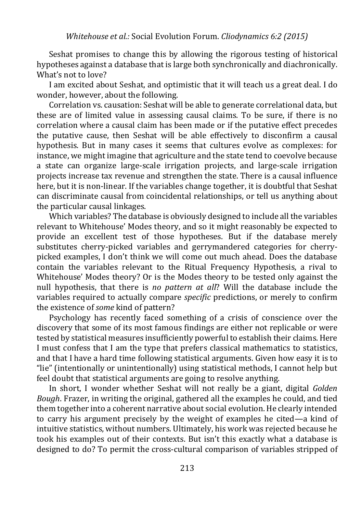Seshat promises to change this by allowing the rigorous testing of historical hypotheses against a database that is large both synchronically and diachronically. What's not to love?

I am excited about Seshat, and optimistic that it will teach us a great deal. I do wonder, however, about the following.

Correlation vs. causation: Seshat will be able to generate correlational data, but these are of limited value in assessing causal claims. To be sure, if there is no correlation where a causal claim has been made or if the putative effect precedes the putative cause, then Seshat will be able effectively to disconfirm a causal hypothesis. But in many cases it seems that cultures evolve as complexes: for instance, we might imagine that agriculture and the state tend to coevolve because a state can organize large-scale irrigation projects, and large-scale irrigation projects increase tax revenue and strengthen the state. There is a causal influence here, but it is non-linear. If the variables change together, it is doubtful that Seshat can discriminate causal from coincidental relationships, or tell us anything about the particular causal linkages.

Which variables? The database is obviously designed to include all the variables relevant to Whitehouse' Modes theory, and so it might reasonably be expected to provide an excellent test of those hypotheses. But if the database merely substitutes cherry-picked variables and gerrymandered categories for cherrypicked examples, I don't think we will come out much ahead. Does the database contain the variables relevant to the Ritual Frequency Hypothesis, a rival to Whitehouse' Modes theory? Or is the Modes theory to be tested only against the null hypothesis, that there is *no pattern at all*? Will the database include the variables required to actually compare *specific* predictions, or merely to confirm the existence of *some* kind of pattern?

Psychology has recently faced something of a crisis of conscience over the discovery that some of its most famous findings are either not replicable or were tested by statistical measures insufficiently powerful to establish their claims. Here I must confess that I am the type that prefers classical mathematics to statistics, and that I have a hard time following statistical arguments. Given how easy it is to "lie" (intentionally or unintentionally) using statistical methods, I cannot help but feel doubt that statistical arguments are going to resolve anything.

In short, I wonder whether Seshat will not really be a giant, digital *Golden Bough*. Frazer, in writing the original, gathered all the examples he could, and tied them together into a coherent narrative about social evolution. He clearly intended to carry his argument precisely by the weight of examples he cited—a kind of intuitive statistics, without numbers. Ultimately, his work was rejected because he took his examples out of their contexts. But isn't this exactly what a database is designed to do? To permit the cross-cultural comparison of variables stripped of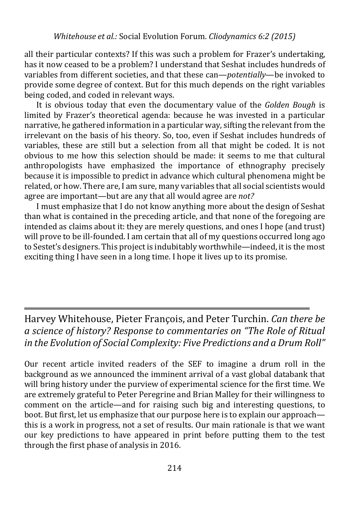all their particular contexts? If this was such a problem for Frazer's undertaking, has it now ceased to be a problem? I understand that Seshat includes hundreds of variables from different societies, and that these can—*potentially*—be invoked to provide some degree of context. But for this much depends on the right variables being coded, and coded in relevant ways.

It is obvious today that even the documentary value of the *Golden Bough* is limited by Frazer's theoretical agenda: because he was invested in a particular narrative, he gathered information in a particular way, sifting the relevant from the irrelevant on the basis of his theory. So, too, even if Seshat includes hundreds of variables, these are still but a selection from all that might be coded. It is not obvious to me how this selection should be made: it seems to me that cultural anthropologists have emphasized the importance of ethnography precisely because it is impossible to predict in advance which cultural phenomena might be related, or how. There are, I am sure, many variables that all social scientists would agree are important—but are any that all would agree are *not?*

I must emphasize that I do not know anything more about the design of Seshat than what is contained in the preceding article, and that none of the foregoing are intended as claims about it: they are merely questions, and ones I hope (and trust) will prove to be ill-founded. I am certain that all of my questions occurred long ago to Sestet's designers. This project is indubitably worthwhile—indeed, it is the most exciting thing I have seen in a long time. I hope it lives up to its promise.

Harvey Whitehouse, Pieter François, and Peter Turchin. *Can there be a science of history? Response to commentaries on "The Role of Ritual in the Evolution of Social Complexity: Five Predictions and a Drum Roll"*

Our recent article invited readers of the SEF to imagine a drum roll in the background as we announced the imminent arrival of a vast global databank that will bring history under the purview of experimental science for the first time. We are extremely grateful to Peter Peregrine and Brian Malley for their willingness to comment on the article—and for raising such big and interesting questions, to boot. But first, let us emphasize that our purpose here is to explain our approach this is a work in progress, not a set of results. Our main rationale is that we want our key predictions to have appeared in print before putting them to the test through the first phase of analysis in 2016.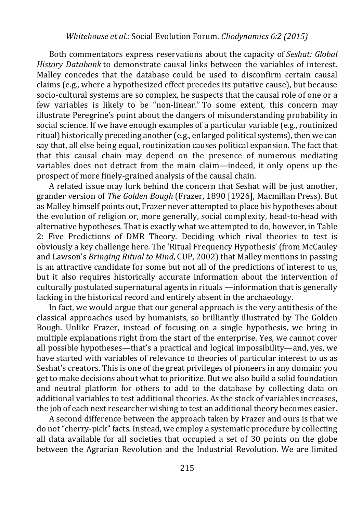Both commentators express reservations about the capacity of *Seshat: Global History Databank* to demonstrate causal links between the variables of interest. Malley concedes that the database could be used to disconfirm certain causal claims (e.g., where a hypothesized effect precedes its putative cause), but because socio-cultural systems are so complex, he suspects that the causal role of one or a few variables is likely to be "non-linear." To some extent, this concern may illustrate Peregrine's point about the dangers of misunderstanding probability in social science. If we have enough examples of a particular variable (e.g., routinized ritual) historically preceding another (e.g., enlarged political systems), then we can say that, all else being equal, routinization causes political expansion. The fact that that this causal chain may depend on the presence of numerous mediating variables does not detract from the main claim—indeed, it only opens up the prospect of more finely-grained analysis of the causal chain.

A related issue may lurk behind the concern that Seshat will be just another, grander version of *The Golden Bough* (Frazer, 1890 [1926], Macmillan Press). But as Malley himself points out, Frazer never attempted to place his hypotheses about the evolution of religion or, more generally, social complexity, head-to-head with alternative hypotheses. That is exactly what we attempted to do, however, in Table 2: Five Predictions of DMR Theory. Deciding which rival theories to test is obviously a key challenge here. The 'Ritual Frequency Hypothesis' (from McCauley and Lawson's *Bringing Ritual to Mind*, CUP, 2002) that Malley mentions in passing is an attractive candidate for some but not all of the predictions of interest to us, but it also requires historically accurate information about the intervention of culturally postulated supernatural agents in rituals —information that is generally lacking in the historical record and entirely absent in the archaeology.

In fact, we would argue that our general approach is the very antithesis of the classical approaches used by humanists, so brilliantly illustrated by The Golden Bough. Unlike Frazer, instead of focusing on a single hypothesis, we bring in multiple explanations right from the start of the enterprise. Yes, we cannot cover all possible hypotheses—that's a practical and logical impossibility—and, yes, we have started with variables of relevance to theories of particular interest to us as Seshat's creators. This is one of the great privileges of pioneers in any domain: you get to make decisions about what to prioritize. But we also build a solid foundation and neutral platform for others to add to the database by collecting data on additional variables to test additional theories. As the stock of variables increases, the job of each next researcher wishing to test an additional theory becomes easier.

A second difference between the approach taken by Frazer and ours is that we do not "cherry-pick" facts. Instead, we employ a systematic procedure by collecting all data available for all societies that occupied a set of 30 points on the globe between the Agrarian Revolution and the Industrial Revolution. We are limited